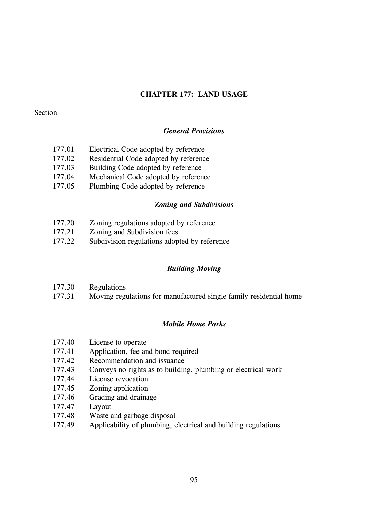# **CHAPTER 177: LAND USAGE**

## Section

# *General Provisions*

- 177.01 Electrical Code adopted by reference
- 177.02 Residential Code adopted by reference
- 177.03 Building Code adopted by reference
- 177.04 Mechanical Code adopted by reference
- 177.05 Plumbing Code adopted by reference

## *Zoning and Subdivisions*

- 177.20 Zoning regulations adopted by reference
- 177.21 Zoning and Subdivision fees
- 177.22 Subdivision regulations adopted by reference

## *Building Moving*

- 177.30 Regulations
- 177.31 Moving regulations for manufactured single family residential home

## *Mobile Home Parks*

- 177.40 License to operate
- 177.41 Application, fee and bond required
- 177.42 Recommendation and issuance
- 177.43 Conveys no rights as to building, plumbing or electrical work
- 177.44 License revocation
- 177.45 Zoning application
- 177.46 Grading and drainage
- 177.47 Layout
- 177.48 Waste and garbage disposal
- 177.49 Applicability of plumbing, electrical and building regulations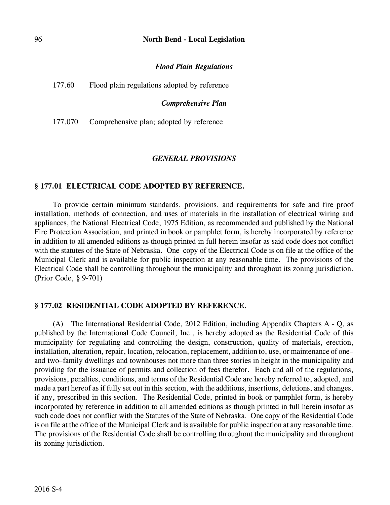### 96 **North Bend - Local Legislation**

### *Flood Plain Regulations*

| 177.60<br>Flood plain regulations adopted by reference |
|--------------------------------------------------------|
|--------------------------------------------------------|

#### *Comprehensive Plan*

177.070 Comprehensive plan; adopted by reference

#### *GENERAL PROVISIONS*

### **§ 177.01 ELECTRICAL CODE ADOPTED BY REFERENCE.**

To provide certain minimum standards, provisions, and requirements for safe and fire proof installation, methods of connection, and uses of materials in the installation of electrical wiring and appliances, the National Electrical Code, 1975 Edition, as recommended and published by the National Fire Protection Association, and printed in book or pamphlet form, is hereby incorporated by reference in addition to all amended editions as though printed in full herein insofar as said code does not conflict with the statutes of the State of Nebraska. One copy of the Electrical Code is on file at the office of the Municipal Clerk and is available for public inspection at any reasonable time. The provisions of the Electrical Code shall be controlling throughout the municipality and throughout its zoning jurisdiction. (Prior Code, § 9-701)

### **§ 177.02 RESIDENTIAL CODE ADOPTED BY REFERENCE.**

(A) The International Residential Code, 2012 Edition, including Appendix Chapters A - Q, as published by the International Code Council, Inc., is hereby adopted as the Residential Code of this municipality for regulating and controlling the design, construction, quality of materials, erection, installation, alteration, repair, location, relocation, replacement, addition to, use, or maintenance of one– and two–family dwellings and townhouses not more than three stories in height in the municipality and providing for the issuance of permits and collection of fees therefor. Each and all of the regulations, provisions, penalties, conditions, and terms of the Residential Code are hereby referred to, adopted, and made a part hereof as if fully set out in this section, with the additions, insertions, deletions, and changes, if any, prescribed in this section. The Residential Code, printed in book or pamphlet form, is hereby incorporated by reference in addition to all amended editions as though printed in full herein insofar as such code does not conflict with the Statutes of the State of Nebraska. One copy of the Residential Code is on file at the office of the Municipal Clerk and is available for public inspection at any reasonable time. The provisions of the Residential Code shall be controlling throughout the municipality and throughout its zoning jurisdiction.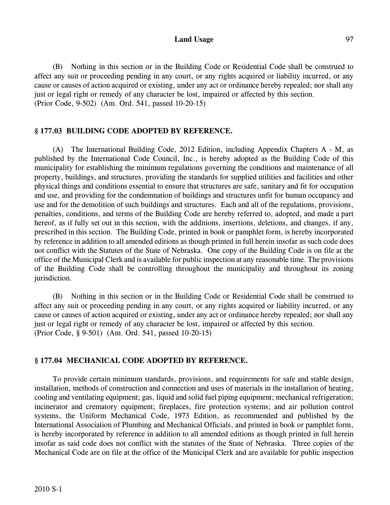### Land Usage 97

(B) Nothing in this section or in the Building Code or Residential Code shall be construed to affect any suit or proceeding pending in any court, or any rights acquired or liability incurred, or any cause or causes of action acquired or existing, under any act or ordinance hereby repealed; nor shall any just or legal right or remedy of any character be lost, impaired or affected by this section. (Prior Code, 9-502) (Am. Ord. 541, passed 10-20-15)

## **§ 177.03 BUILDING CODE ADOPTED BY REFERENCE.**

(A) The International Building Code, 2012 Edition, including Appendix Chapters A - M, as published by the International Code Council, Inc., is hereby adopted as the Building Code of this municipality for establishing the minimum regulations governing the conditions and maintenance of all property, buildings, and structures, providing the standards for supplied utilities and facilities and other physical things and conditions essential to ensure that structures are safe, sanitary and fit for occupation and use, and providing for the condemnation of buildings and structures unfit for human occupancy and use and for the demolition of such buildings and structures. Each and all of the regulations, provisions, penalties, conditions, and terms of the Building Code are hereby referred to, adopted, and made a part hereof, as if fully set out in this section, with the additions, insertions, deletions, and changes, if any, prescribed in this section. The Building Code, printed in book or pamphlet form, is hereby incorporated by reference in addition to all amended editions as though printed in full herein insofar as such code does not conflict with the Statutes of the State of Nebraska. One copy of the Building Code is on file at the office of the Municipal Clerk and is available for public inspection at any reasonable time. The provisions of the Building Code shall be controlling throughout the municipality and throughout its zoning jurisdiction.

(B) Nothing in this section or in the Building Code or Residential Code shall be construed to affect any suit or proceeding pending in any court, or any rights acquired or liability incurred, or any cause or causes of action acquired or existing, under any act or ordinance hereby repealed; nor shall any just or legal right or remedy of any character be lost, impaired or affected by this section. (Prior Code, § 9-501) (Am. Ord. 541, passed 10-20-15)

## **§ 177.04 MECHANICAL CODE ADOPTED BY REFERENCE.**

To provide certain minimum standards, provisions, and requirements for safe and stable design, installation, methods of construction and connection and uses of materials in the installation of heating, cooling and ventilating equipment; gas, liquid and solid fuel piping equipment; mechanical refrigeration; incinerator and crematory equipment; fireplaces, fire protection systems; and air pollution control systems, the Uniform Mechanical Code, 1973 Edition, as recommended and published by the International Association of Plumbing and Mechanical Officials, and printed in book or pamphlet form, is hereby incorporated by reference in addition to all amended editions as though printed in full herein insofar as said code does not conflict with the statutes of the State of Nebraska. Three copies of the Mechanical Code are on file at the office of the Municipal Clerk and are available for public inspection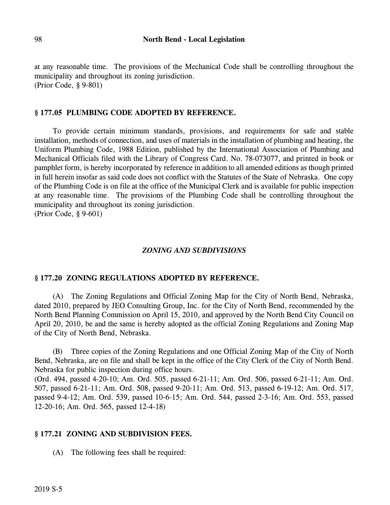at any reasonable time. The provisions of the Mechanical Code shall be controlling throughout the municipality and throughout its zoning jurisdiction. (Prior Code, § 9-801)

### **§ 177.05 PLUMBING CODE ADOPTED BY REFERENCE.**

To provide certain minimum standards, provisions, and requirements for safe and stable installation, methods of connection, and uses of materials in the installation of plumbing and heating, the Uniform Plumbing Code, 1988 Edition, published by the International Association of Plumbing and Mechanical Officials filed with the Library of Congress Card. No. 78-073077, and printed in book or pamphlet form, is hereby incorporated by reference in addition to all amended editions as though printed in full herein insofar as said code does not conflict with the Statutes of the State of Nebraska. One copy of the Plumbing Code is on file at the office of the Municipal Clerk and is available for public inspection at any reasonable time. The provisions of the Plumbing Code shall be controlling throughout the municipality and throughout its zoning jurisdiction.

(Prior Code, § 9-601)

### *ZONING AND SUBDIVISIONS*

### **§ 177.20 ZONING REGULATIONS ADOPTED BY REFERENCE.**

(A) The Zoning Regulations and Official Zoning Map for the City of North Bend, Nebraska, dated 2010, prepared by JEO Consulting Group, Inc. for the City of North Bend, recommended by the North Bend Planning Commission on April 15, 2010, and approved by the North Bend City Council on April 20, 2010, be and the same is hereby adopted as the official Zoning Regulations and Zoning Map of the City of North Bend, Nebraska.

(B) Three copies of the Zoning Regulations and one Official Zoning Map of the City of North Bend, Nebraska, are on file and shall be kept in the office of the City Clerk of the City of North Bend. Nebraska for public inspection during office hours.

(Ord. 494, passed 4-20-10; Am. Ord. 505, passed 6-21-11; Am. Ord. 506, passed 6-21-11; Am. Ord. 507, passed 6-21-11; Am. Ord. 508, passed 9-20-11; Am. Ord. 513, passed 6-19-12; Am. Ord. 517, passed 9-4-12; Am. Ord. 539, passed 10-6-15; Am. Ord. 544, passed 2-3-16; Am. Ord. 553, passed 12-20-16; Am. Ord. 565, passed 12-4-18)

### **§ 177.21 ZONING AND SUBDIVISION FEES.**

(A) The following fees shall be required: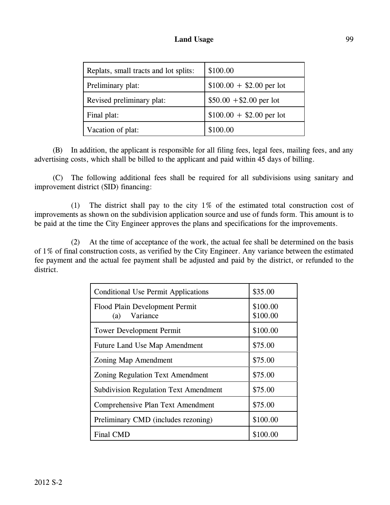| Replats, small tracts and lot splits: | \$100.00                  |
|---------------------------------------|---------------------------|
| Preliminary plat:                     | $$100.00 + $2.00$ per lot |
| Revised preliminary plat:             | $$50.00 + $2.00$ per lot  |
| Final plat:                           | $$100.00 + $2.00$ per lot |
| Vacation of plat:                     | \$100.00                  |

(B) In addition, the applicant is responsible for all filing fees, legal fees, mailing fees, and any advertising costs, which shall be billed to the applicant and paid within 45 days of billing.

(C) The following additional fees shall be required for all subdivisions using sanitary and improvement district (SID) financing:

(1) The district shall pay to the city 1% of the estimated total construction cost of improvements as shown on the subdivision application source and use of funds form. This amount is to be paid at the time the City Engineer approves the plans and specifications for the improvements.

(2) At the time of acceptance of the work, the actual fee shall be determined on the basis of 1% of final construction costs, as verified by the City Engineer. Any variance between the estimated fee payment and the actual fee payment shall be adjusted and paid by the district, or refunded to the district.

| <b>Conditional Use Permit Applications</b>        | \$35.00              |
|---------------------------------------------------|----------------------|
| Flood Plain Development Permit<br>Variance<br>(a) | \$100.00<br>\$100.00 |
| <b>Tower Development Permit</b>                   | \$100.00             |
| <b>Future Land Use Map Amendment</b>              | \$75.00              |
| Zoning Map Amendment                              | \$75.00              |
| <b>Zoning Regulation Text Amendment</b>           | \$75.00              |
| <b>Subdivision Regulation Text Amendment</b>      | \$75.00              |
| <b>Comprehensive Plan Text Amendment</b>          | \$75.00              |
| Preliminary CMD (includes rezoning)               | \$100.00             |
| <b>Final CMD</b>                                  | \$100.00             |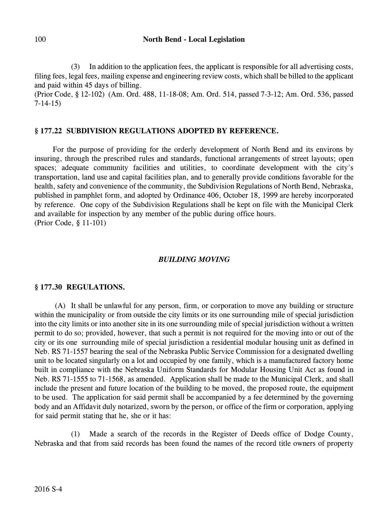(3) In addition to the application fees, the applicant is responsible for all advertising costs, filing fees, legal fees, mailing expense and engineering review costs, which shall be billed to the applicant and paid within 45 days of billing.

(Prior Code, § 12-102) (Am. Ord. 488, 11-18-08; Am. Ord. 514, passed 7-3-12; Am. Ord. 536, passed 7-14-15)

# **§ 177.22 SUBDIVISION REGULATIONS ADOPTED BY REFERENCE.**

For the purpose of providing for the orderly development of North Bend and its environs by insuring, through the prescribed rules and standards, functional arrangements of street layouts; open spaces; adequate community facilities and utilities, to coordinate development with the city's transportation, land use and capital facilities plan, and to generally provide conditions favorable for the health, safety and convenience of the community, the Subdivision Regulations of North Bend, Nebraska, published in pamphlet form, and adopted by Ordinance 406, October 18, 1999 are hereby incorporated by reference. One copy of the Subdivision Regulations shall be kept on file with the Municipal Clerk and available for inspection by any member of the public during office hours. (Prior Code, § 11-101)

# *BUILDING MOVING*

# **§ 177.30 REGULATIONS.**

(A) It shall be unlawful for any person, firm, or corporation to move any building or structure within the municipality or from outside the city limits or its one surrounding mile of special jurisdiction into the city limits or into another site in its one surrounding mile of special jurisdiction without a written permit to do so; provided, however, that such a permit is not required for the moving into or out of the city or its one surrounding mile of special jurisdiction a residential modular housing unit as defined in Neb. RS 71-1557 bearing the seal of the Nebraska Public Service Commission for a designated dwelling unit to be located singularly on a lot and occupied by one family, which is a manufactured factory home built in compliance with the Nebraska Uniform Standards for Modular Housing Unit Act as found in Neb. RS 71-1555 to 71-1568, as amended. Application shall be made to the Municipal Clerk, and shall include the present and future location of the building to be moved, the proposed route, the equipment to be used. The application for said permit shall be accompanied by a fee determined by the governing body and an Affidavit duly notarized, sworn by the person, or office of the firm or corporation, applying for said permit stating that he, she or it has:

(1) Made a search of the records in the Register of Deeds office of Dodge County, Nebraska and that from said records has been found the names of the record title owners of property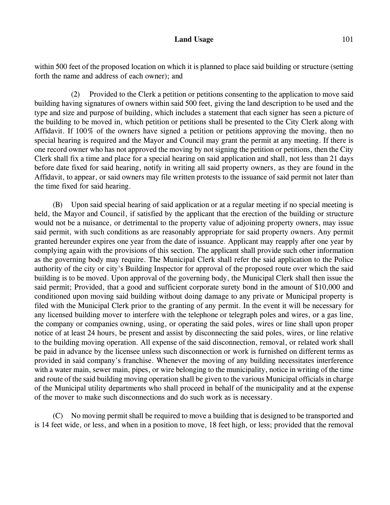within 500 feet of the proposed location on which it is planned to place said building or structure (setting forth the name and address of each owner); and

(2) Provided to the Clerk a petition or petitions consenting to the application to move said building having signatures of owners within said 500 feet, giving the land description to be used and the type and size and purpose of building, which includes a statement that each signer has seen a picture of the building to be moved in, which petition or petitions shall be presented to the City Clerk along with Affidavit. If 100% of the owners have signed a petition or petitions approving the moving, then no special hearing is required and the Mayor and Council may grant the permit at any meeting. If there is one record owner who has not approved the moving by not signing the petition or petitions, then the City Clerk shall fix a time and place for a special hearing on said application and shall, not less than 21 days before date fixed for said hearing, notify in writing all said property owners, as they are found in the Affidavit, to appear, or said owners may file written protests to the issuance of said permit not later than the time fixed for said hearing.

(B) Upon said special hearing of said application or at a regular meeting if no special meeting is held, the Mayor and Council, if satisfied by the applicant that the erection of the building or structure would not be a nuisance, or detrimental to the property value of adjoining property owners, may issue said permit, with such conditions as are reasonably appropriate for said property owners. Any permit granted hereunder expires one year from the date of issuance. Applicant may reapply after one year by complying again with the provisions of this section. The applicant shall provide such other information as the governing body may require. The Municipal Clerk shall refer the said application to the Police authority of the city or city's Building Inspector for approval of the proposed route over which the said building is to be moved. Upon approval of the governing body, the Municipal Clerk shall then issue the said permit; Provided, that a good and sufficient corporate surety bond in the amount of \$10,000 and conditioned upon moving said building without doing damage to any private or Municipal property is filed with the Municipal Clerk prior to the granting of any permit. In the event it will be necessary for any licensed building mover to interfere with the telephone or telegraph poles and wires, or a gas line, the company or companies owning, using, or operating the said poles, wires or line shall upon proper notice of at least 24 hours, be present and assist by disconnecting the said poles, wires, or line relative to the building moving operation. All expense of the said disconnection, removal, or related work shall be paid in advance by the licensee unless such disconnection or work is furnished on different terms as provided in said company's franchise. Whenever the moving of any building necessitates interference with a water main, sewer main, pipes, or wire belonging to the municipality, notice in writing of the time and route of the said building moving operation shall be given to the various Municipal officials in charge of the Municipal utility departments who shall proceed in behalf of the municipality and at the expense of the mover to make such disconnections and do such work as is necessary.

(C) No moving permit shall be required to move a building that is designed to be transported and is 14 feet wide, or less, and when in a position to move, 18 feet high, or less; provided that the removal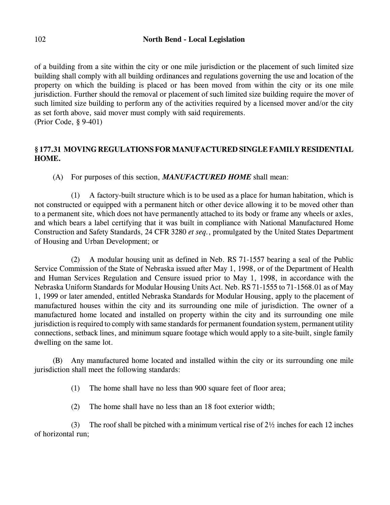of a building from a site within the city or one mile jurisdiction or the placement of such limited size building shall comply with all building ordinances and regulations governing the use and location of the property on which the building is placed or has been moved from within the city or its one mile jurisdiction. Further should the removal or placement of such limited size building require the mover of such limited size building to perform any of the activities required by a licensed mover and/or the city as set forth above, said mover must comply with said requirements. (Prior Code, § 9-401)

# **§ 177.31 MOVING REGULATIONS FOR MANUFACTURED SINGLE FAMILY RESIDENTIAL HOME.**

(A) For purposes of this section, *MANUFACTURED HOME* shall mean:

(1) A factory-built structure which is to be used as a place for human habitation, which is not constructed or equipped with a permanent hitch or other device allowing it to be moved other than to a permanent site, which does not have permanently attached to its body or frame any wheels or axles, and which bears a label certifying that it was built in compliance with National Manufactured Home Construction and Safety Standards, 24 CFR 3280 *et seq.*, promulgated by the United States Department of Housing and Urban Development; or

(2) A modular housing unit as defined in Neb. RS 71-1557 bearing a seal of the Public Service Commission of the State of Nebraska issued after May 1, 1998, or of the Department of Health and Human Services Regulation and Censure issued prior to May 1, 1998, in accordance with the Nebraska Uniform Standards for Modular Housing Units Act. Neb. RS 71-1555 to 71-1568.01 as of May 1, 1999 or later amended, entitled Nebraska Standards for Modular Housing, apply to the placement of manufactured houses within the city and its surrounding one mile of jurisdiction. The owner of a manufactured home located and installed on property within the city and its surrounding one mile jurisdiction is required to comply with same standards for permanent foundation system, permanent utility connections, setback lines, and minimum square footage which would apply to a site-built, single family dwelling on the same lot.

(B) Any manufactured home located and installed within the city or its surrounding one mile jurisdiction shall meet the following standards:

(1) The home shall have no less than 900 square feet of floor area;

(2) The home shall have no less than an 18 foot exterior width;

(3) The roof shall be pitched with a minimum vertical rise of 2½ inches for each 12 inches of horizontal run;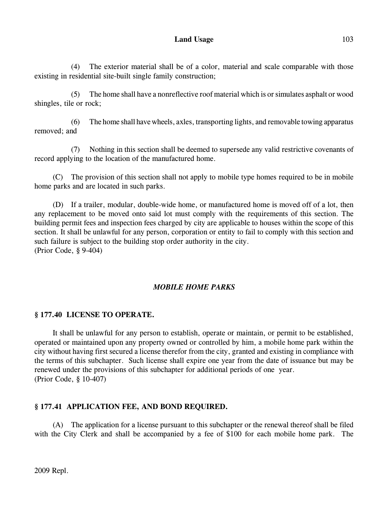(4) The exterior material shall be of a color, material and scale comparable with those existing in residential site-built single family construction;

(5) The home shall have a nonreflective roof material which is or simulates asphalt or wood shingles, tile or rock;

(6) The home shall have wheels, axles, transporting lights, and removable towing apparatus removed; and

(7) Nothing in this section shall be deemed to supersede any valid restrictive covenants of record applying to the location of the manufactured home.

(C) The provision of this section shall not apply to mobile type homes required to be in mobile home parks and are located in such parks.

(D) If a trailer, modular, double-wide home, or manufactured home is moved off of a lot, then any replacement to be moved onto said lot must comply with the requirements of this section. The building permit fees and inspection fees charged by city are applicable to houses within the scope of this section. It shall be unlawful for any person, corporation or entity to fail to comply with this section and such failure is subject to the building stop order authority in the city. (Prior Code, § 9-404)

# *MOBILE HOME PARKS*

## **§ 177.40 LICENSE TO OPERATE.**

It shall be unlawful for any person to establish, operate or maintain, or permit to be established, operated or maintained upon any property owned or controlled by him, a mobile home park within the city without having first secured a license therefor from the city, granted and existing in compliance with the terms of this subchapter. Such license shall expire one year from the date of issuance but may be renewed under the provisions of this subchapter for additional periods of one year. (Prior Code, § 10-407)

## **§ 177.41 APPLICATION FEE, AND BOND REQUIRED.**

(A) The application for a license pursuant to this subchapter or the renewal thereof shall be filed with the City Clerk and shall be accompanied by a fee of \$100 for each mobile home park. The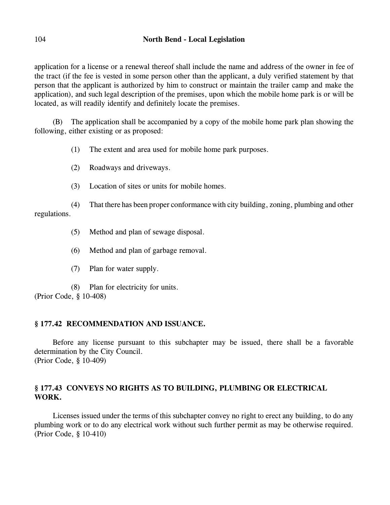application for a license or a renewal thereof shall include the name and address of the owner in fee of the tract (if the fee is vested in some person other than the applicant, a duly verified statement by that person that the applicant is authorized by him to construct or maintain the trailer camp and make the application), and such legal description of the premises, upon which the mobile home park is or will be located, as will readily identify and definitely locate the premises.

(B) The application shall be accompanied by a copy of the mobile home park plan showing the following, either existing or as proposed:

- (1) The extent and area used for mobile home park purposes.
- (2) Roadways and driveways.
- (3) Location of sites or units for mobile homes.

(4) That there has been proper conformance with city building, zoning, plumbing and other regulations.

- (5) Method and plan of sewage disposal.
- (6) Method and plan of garbage removal.
- (7) Plan for water supply.

(8) Plan for electricity for units. (Prior Code, § 10-408)

# **§ 177.42 RECOMMENDATION AND ISSUANCE.**

Before any license pursuant to this subchapter may be issued, there shall be a favorable determination by the City Council. (Prior Code, § 10-409)

# **§ 177.43 CONVEYS NO RIGHTS AS TO BUILDING, PLUMBING OR ELECTRICAL WORK.**

Licenses issued under the terms of this subchapter convey no right to erect any building, to do any plumbing work or to do any electrical work without such further permit as may be otherwise required. (Prior Code, § 10-410)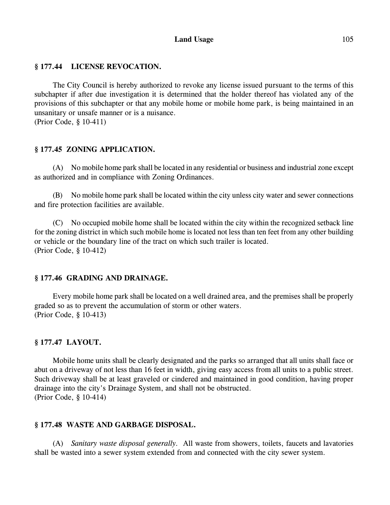## Land Usage 105

### **§ 177.44 LICENSE REVOCATION.**

The City Council is hereby authorized to revoke any license issued pursuant to the terms of this subchapter if after due investigation it is determined that the holder thereof has violated any of the provisions of this subchapter or that any mobile home or mobile home park, is being maintained in an unsanitary or unsafe manner or is a nuisance.

(Prior Code, § 10-411)

### **§ 177.45 ZONING APPLICATION.**

(A) No mobile home park shall be located in any residential or business and industrial zone except as authorized and in compliance with Zoning Ordinances.

(B) No mobile home park shall be located within the city unless city water and sewer connections and fire protection facilities are available.

(C) No occupied mobile home shall be located within the city within the recognized setback line for the zoning district in which such mobile home is located not less than ten feet from any other building or vehicle or the boundary line of the tract on which such trailer is located. (Prior Code, § 10-412)

### **§ 177.46 GRADING AND DRAINAGE.**

Every mobile home park shall be located on a well drained area, and the premises shall be properly graded so as to prevent the accumulation of storm or other waters. (Prior Code, § 10-413)

### **§ 177.47 LAYOUT.**

Mobile home units shall be clearly designated and the parks so arranged that all units shall face or abut on a driveway of not less than 16 feet in width, giving easy access from all units to a public street. Such driveway shall be at least graveled or cindered and maintained in good condition, having proper drainage into the city's Drainage System, and shall not be obstructed. (Prior Code, § 10-414)

### **§ 177.48 WASTE AND GARBAGE DISPOSAL.**

(A) *Sanitary waste disposal generally.* All waste from showers, toilets, faucets and lavatories shall be wasted into a sewer system extended from and connected with the city sewer system.